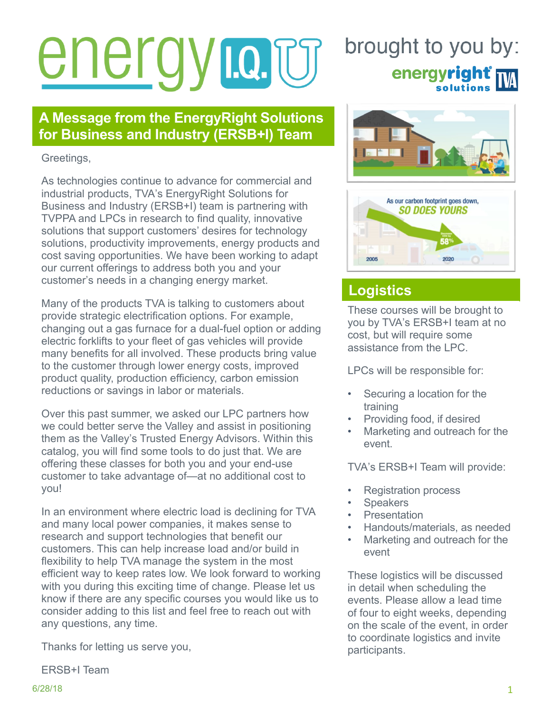# energy natu

#### **A Message from the EnergyRight Solutions for Business and Industry (ERSB+I) Team**

Greetings,

As technologies continue to advance for commercial and industrial products, TVA's EnergyRight Solutions for Business and Industry (ERSB+I) team is partnering with TVPPA and LPCs in research to find quality, innovative solutions that support customers' desires for technology solutions, productivity improvements, energy products and cost saving opportunities. We have been working to adapt our current offerings to address both you and your customer's needs in a changing energy market.

Many of the products TVA is talking to customers about provide strategic electrification options. For example, changing out a gas furnace for a dual-fuel option or adding electric forklifts to your fleet of gas vehicles will provide many benefits for all involved. These products bring value to the customer through lower energy costs, improved product quality, production efficiency, carbon emission reductions or savings in labor or materials.

Over this past summer, we asked our LPC partners how we could better serve the Valley and assist in positioning them as the Valley's Trusted Energy Advisors. Within this catalog, you will find some tools to do just that. We are offering these classes for both you and your end-use customer to take advantage of—at no additional cost to you!

In an environment where electric load is declining for TVA and many local power companies, it makes sense to research and support technologies that benefit our customers. This can help increase load and/or build in flexibility to help TVA manage the system in the most efficient way to keep rates low. We look forward to working with you during this exciting time of change. Please let us know if there are any specific courses you would like us to consider adding to this list and feel free to reach out with any questions, any time.

Thanks for letting us serve you,

ERSB+I Team

# brought to you by: energyright<sup>®</sup>





## **Logistics**

These courses will be brought to you by TVA's ERSB+I team at no cost, but will require some assistance from the LPC.

LPCs will be responsible for:

- Securing a location for the training
- Providing food, if desired
- Marketing and outreach for the event.

TVA's ERSB+I Team will provide:

- Registration process
- **Speakers**
- **Presentation**
- Handouts/materials, as needed
- Marketing and outreach for the event

These logistics will be discussed in detail when scheduling the events. Please allow a lead time of four to eight weeks, depending on the scale of the event, in order to coordinate logistics and invite participants.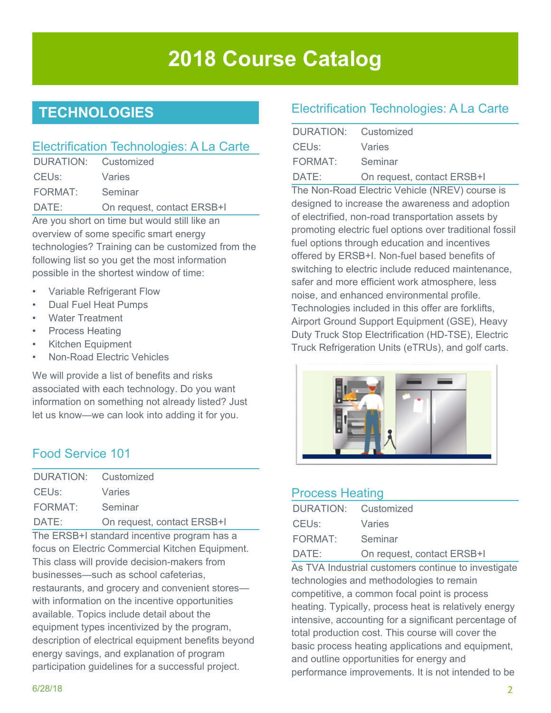# **2018 Course Catalog**

## **TECHNOLOGIES**

#### Electrification Technologies: A La Carte

| DURATION: Customized                          |                            |
|-----------------------------------------------|----------------------------|
| CEU <sub>s</sub> :                            | Varies                     |
| FORMAT:                                       | Seminar                    |
| DATE:                                         | On request, contact ERSB+I |
| Are you short on time but would still like an |                            |

overview of some specific smart energy technologies? Training can be customized from the following list so you get the most information possible in the shortest window of time:

- Variable Refrigerant Flow
- Dual Fuel Heat Pumps
- Water Treatment
- Process Heating
- Kitchen Equipment
- Non-Road Electric Vehicles

We will provide a list of benefits and risks associated with each technology. Do you want information on something not already listed? Just let us know—we can look into adding it for you.

#### Food Service 101

| DURATION: Customized |                            |
|----------------------|----------------------------|
| CEUs:                | Varies                     |
| FORMAT:              | Seminar                    |
| DATE:                | On request, contact ERSB+I |

The ERSB+I standard incentive program has a focus on Electric Commercial Kitchen Equipment. This class will provide decision-makers from businesses—such as school cafeterias, restaurants, and grocery and convenient stores with information on the incentive opportunities available. Topics include detail about the equipment types incentivized by the program, description of electrical equipment benefits beyond energy savings, and explanation of program participation guidelines for a successful project.

#### Electrification Technologies: A La Carte

| DURATION: Customized |                            |
|----------------------|----------------------------|
| CEUs:                | Varies                     |
| FORMAT:              | Seminar                    |
| DATE:                | On request, contact ERSB+I |

The Non-Road Electric Vehicle (NREV) course is designed to increase the awareness and adoption of electrified, non-road transportation assets by promoting electric fuel options over traditional fossil fuel options through education and incentives offered by ERSB+I. Non-fuel based benefits of switching to electric include reduced maintenance, safer and more efficient work atmosphere, less noise, and enhanced environmental profile. Technologies included in this offer are forklifts, Airport Ground Support Equipment (GSE), Heavy Duty Truck Stop Electrification (HD-TSE), Electric Truck Refrigeration Units (eTRUs), and golf carts.



#### Process Heating

| DURATION: Customized |                            |
|----------------------|----------------------------|
| CEUs: The CEUS:      | Varies                     |
| FORMAT: Seminar      |                            |
| DATE:                | On request, contact ERSB+I |

As TVA Industrial customers continue to investigate technologies and methodologies to remain competitive, a common focal point is process heating. Typically, process heat is relatively energy intensive, accounting for a significant percentage of total production cost. This course will cover the basic process heating applications and equipment, and outline opportunities for energy and performance improvements. It is not intended to be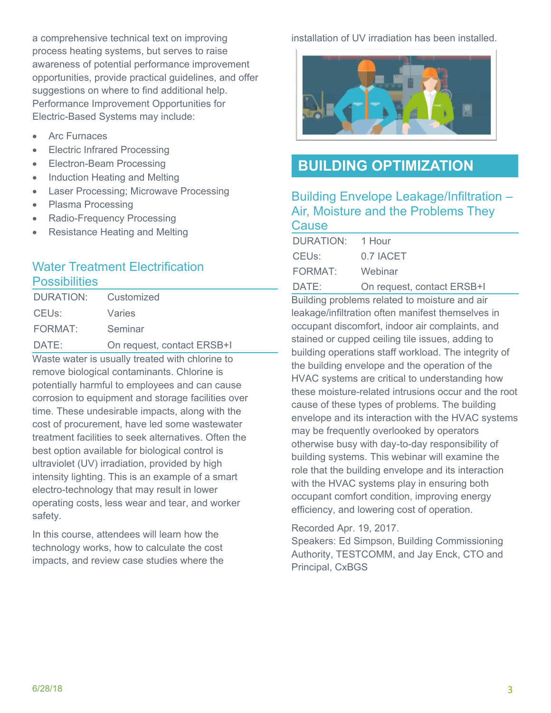a comprehensive technical text on improving process heating systems, but serves to raise awareness of potential performance improvement opportunities, provide practical guidelines, and offer suggestions on where to find additional help. Performance Improvement Opportunities for Electric-Based Systems may include:

- Arc Furnaces
- Electric Infrared Processing
- Electron-Beam Processing
- Induction Heating and Melting
- Laser Processing; Microwave Processing
- Plasma Processing
- Radio-Frequency Processing
- Resistance Heating and Melting

#### Water Treatment Electrification **Possibilities**

| DURATION: Customized |                            |
|----------------------|----------------------------|
| CEUs:                | Varies                     |
| FORMAT:              | Seminar                    |
| DATE:                | On request, contact ERSB+I |

Waste water is usually treated with chlorine to remove biological contaminants. Chlorine is potentially harmful to employees and can cause corrosion to equipment and storage facilities over time. These undesirable impacts, along with the cost of procurement, have led some wastewater treatment facilities to seek alternatives. Often the best option available for biological control is ultraviolet (UV) irradiation, provided by high intensity lighting. This is an example of a smart electro-technology that may result in lower operating costs, less wear and tear, and worker safety.

In this course, attendees will learn how the technology works, how to calculate the cost impacts, and review case studies where the installation of UV irradiation has been installed.



#### **BUILDING OPTIMIZATION**

#### Building Envelope Leakage/Infiltration – Air, Moisture and the Problems They **Cause**

| DURATION: | 1 Hour    |
|-----------|-----------|
| CEUs:     | 0.7 IACET |
| FORMAT:   | Webinar   |
|           |           |

DATE: On request, contact ERSB+I Building problems related to moisture and air leakage/infiltration often manifest themselves in occupant discomfort, indoor air complaints, and stained or cupped ceiling tile issues, adding to building operations staff workload. The integrity of the building envelope and the operation of the HVAC systems are critical to understanding how these moisture-related intrusions occur and the root cause of these types of problems. The building envelope and its interaction with the HVAC systems may be frequently overlooked by operators otherwise busy with day-to-day responsibility of building systems. This webinar will examine the role that the building envelope and its interaction with the HVAC systems play in ensuring both occupant comfort condition, improving energy efficiency, and lowering cost of operation.

Recorded Apr. 19, 2017.

Speakers: Ed Simpson, Building Commissioning Authority, TESTCOMM, and Jay Enck, CTO and Principal, CxBGS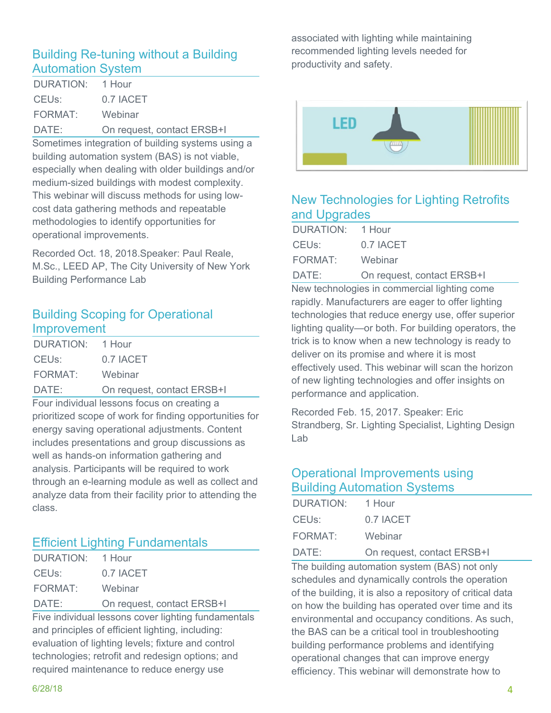#### Building Re-tuning without a Building Automation System

| DURATION: 1 Hour |                            |
|------------------|----------------------------|
| CEUs:            | 0.7 IACET                  |
| FORMAT: Webinar  |                            |
| DATE:            | On request, contact ERSB+I |

Sometimes integration of building systems using a building automation system (BAS) is not viable, especially when dealing with older buildings and/or medium-sized buildings with modest complexity. This webinar will discuss methods for using lowcost data gathering methods and repeatable methodologies to identify opportunities for operational improvements.

Recorded Oct. 18, 2018.Speaker: Paul Reale, M.Sc., LEED AP, The City University of New York Building Performance Lab

#### Building Scoping for Operational Improvement

| DURATION: 1 Hour |                            |
|------------------|----------------------------|
| CEUs:            | 0.7 IACET                  |
| FORMAT:          | Webinar                    |
| DATE:            | On request, contact ERSB+I |

Four individual lessons focus on creating a prioritized scope of work for finding opportunities for energy saving operational adjustments. Content includes presentations and group discussions as well as hands-on information gathering and analysis. Participants will be required to work through an e-learning module as well as collect and analyze data from their facility prior to attending the class.

#### Efficient Lighting Fundamentals

| DURATION: 1 Hour   |                            |
|--------------------|----------------------------|
| CEU <sub>s</sub> : | 0.7 IACET                  |
| FORMAT:            | Webinar                    |
| DATE:              | On request, contact ERSB+I |

Five individual lessons cover lighting fundamentals and principles of efficient lighting, including: evaluation of lighting levels; fixture and control technologies; retrofit and redesign options; and required maintenance to reduce energy use

associated with lighting while maintaining recommended lighting levels needed for productivity and safety.



#### New Technologies for Lighting Retrofits and Upgrades

| DURATION: 1 Hour |                            |
|------------------|----------------------------|
| CEUs:            | 0.7 IACET                  |
| FORMAT: Webinar  |                            |
| DATE:            | On request, contact ERSB+I |

New technologies in commercial lighting come rapidly. Manufacturers are eager to offer lighting technologies that reduce energy use, offer superior lighting quality—or both. For building operators, the trick is to know when a new technology is ready to deliver on its promise and where it is most effectively used. This webinar will scan the horizon of new lighting technologies and offer insights on performance and application.

Recorded Feb. 15, 2017. Speaker: Eric Strandberg, Sr. Lighting Specialist, Lighting Design Lab

#### Operational Improvements using Building Automation Systems

| DURATION: 1 Hour |                            |
|------------------|----------------------------|
| CEUs:            | 0.7 IACET                  |
| FORMAT:          | Webinar                    |
| DATE:            | On request, contact ERSB+I |

The building automation system (BAS) not only schedules and dynamically controls the operation of the building, it is also a repository of critical data on how the building has operated over time and its environmental and occupancy conditions. As such, the BAS can be a critical tool in troubleshooting building performance problems and identifying operational changes that can improve energy efficiency. This webinar will demonstrate how to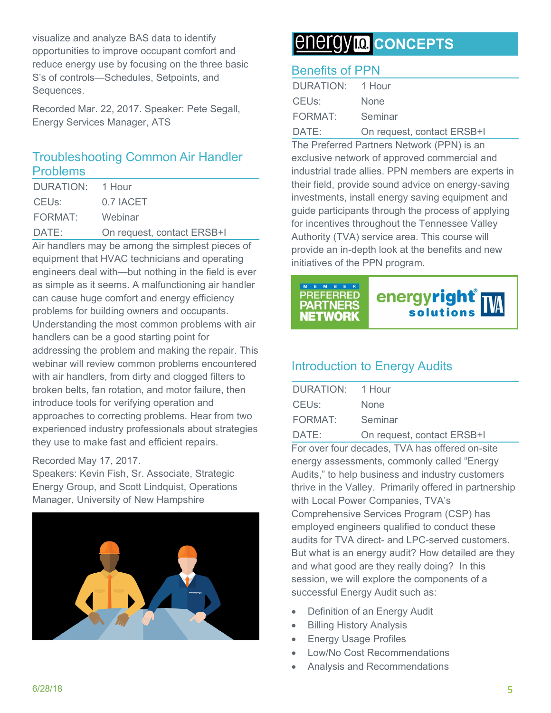visualize and analyze BAS data to identify opportunities to improve occupant comfort and reduce energy use by focusing on the three basic S's of controls—Schedules, Setpoints, and Sequences.

Recorded Mar. 22, 2017. Speaker: Pete Segall, Energy Services Manager, ATS

#### Troubleshooting Common Air Handler Problems

| DURATION: 1 Hour |                            |
|------------------|----------------------------|
| CEUs:            | 0.7 IACET                  |
| FORMAT:          | Webinar                    |
| DATE:            | On request, contact ERSB+I |
|                  |                            |

Air handlers may be among the simplest pieces of equipment that HVAC technicians and operating engineers deal with—but nothing in the field is ever as simple as it seems. A malfunctioning air handler can cause huge comfort and energy efficiency problems for building owners and occupants. Understanding the most common problems with air handlers can be a good starting point for addressing the problem and making the repair. This webinar will review common problems encountered with air handlers, from dirty and clogged filters to broken belts, fan rotation, and motor failure, then introduce tools for verifying operation and approaches to correcting problems. Hear from two experienced industry professionals about strategies they use to make fast and efficient repairs.

#### Recorded May 17, 2017.

Speakers: Kevin Fish, Sr. Associate, Strategic Energy Group, and Scott Lindquist, Operations Manager, University of New Hampshire



## *CONCEPTS*

#### Benefits of PPN

| DURATION: 1 Hour   |                            |
|--------------------|----------------------------|
| CEU <sub>s</sub> : | <b>None</b>                |
| FORMAT:            | Seminar                    |
| DATE:              | On request, contact ERSB+I |

The Preferred Partners Network (PPN) is an exclusive network of approved commercial and industrial trade allies. PPN members are experts in their field, provide sound advice on energy-saving investments, install energy saving equipment and guide participants through the process of applying for incentives throughout the Tennessee Valley Authority (TVA) service area. This course will provide an in-depth look at the benefits and new initiatives of the PPN program.



#### Introduction to Energy Audits

| DURATION: 1 Hour |                            |
|------------------|----------------------------|
| CEUs:            | <b>None</b>                |
| FORMAT:          | Seminar                    |
| DATE:            | On request, contact ERSB+I |

For over four decades, TVA has offered on-site energy assessments, commonly called "Energy Audits," to help business and industry customers thrive in the Valley. Primarily offered in partnership with Local Power Companies, TVA's Comprehensive Services Program (CSP) has employed engineers qualified to conduct these audits for TVA direct- and LPC-served customers. But what is an energy audit? How detailed are they and what good are they really doing? In this session, we will explore the components of a successful Energy Audit such as:

- Definition of an Energy Audit
- Billing History Analysis
- Energy Usage Profiles
- Low/No Cost Recommendations
- Analysis and Recommendations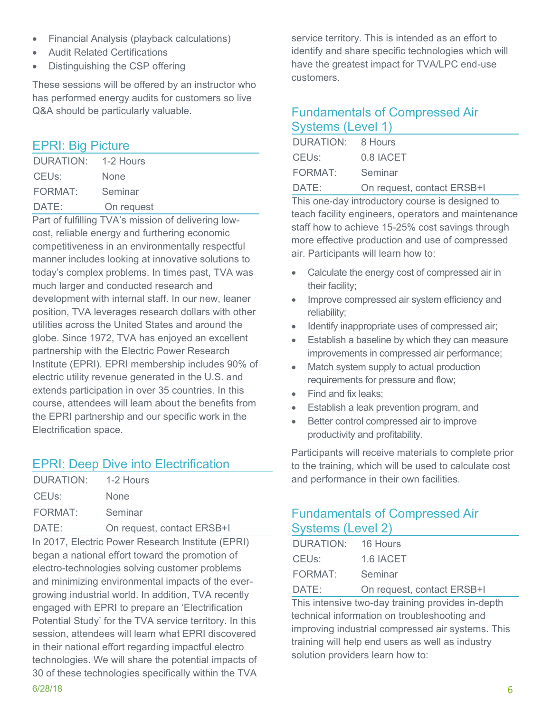- Financial Analysis (playback calculations)
- Audit Related Certifications
- Distinguishing the CSP offering

These sessions will be offered by an instructor who has performed energy audits for customers so live Q&A should be particularly valuable.

#### EPRI: Big Picture

| DURATION: 1-2 Hours |             |
|---------------------|-------------|
| CEU <sub>s</sub> :  | <b>None</b> |
| FORMAT:             | Seminar     |
| DATE:               | On request  |
|                     |             |

Part of fulfilling TVA's mission of delivering lowcost, reliable energy and furthering economic competitiveness in an environmentally respectful manner includes looking at innovative solutions to today's complex problems. In times past, TVA was much larger and conducted research and development with internal staff. In our new, leaner position, TVA leverages research dollars with other utilities across the United States and around the globe. Since 1972, TVA has enjoyed an excellent partnership with the Electric Power Research Institute (EPRI). EPRI membership includes 90% of electric utility revenue generated in the U.S. and extends participation in over 35 countries. In this course, attendees will learn about the benefits from the EPRI partnership and our specific work in the Electrification space.

#### EPRI: Deep Dive into Electrification

| DURATION: 1-2 Hours |                            |
|---------------------|----------------------------|
| CEUs:               | <b>None</b>                |
| FORMAT:             | Seminar                    |
| DATE:               | On request, contact ERSB+I |

 $6/28/18$  6 In 2017, Electric Power Research Institute (EPRI) began a national effort toward the promotion of electro-technologies solving customer problems and minimizing environmental impacts of the evergrowing industrial world. In addition, TVA recently engaged with EPRI to prepare an 'Electrification Potential Study' for the TVA service territory. In this session, attendees will learn what EPRI discovered in their national effort regarding impactful electro technologies. We will share the potential impacts of 30 of these technologies specifically within the TVA

service territory. This is intended as an effort to identify and share specific technologies which will have the greatest impact for TVA/LPC end-use customers.

#### Fundamentals of Compressed Air Systems (Level 1)

| DURATION: 8 Hours |                            |
|-------------------|----------------------------|
| CEUs:             | 0.8 IACET                  |
| FORMAT:           | Seminar                    |
| DATE:             | On request, contact ERSB+I |

This one-day introductory course is designed to teach facility engineers, operators and maintenance staff how to achieve 15-25% cost savings through more effective production and use of compressed air. Participants will learn how to:

- Calculate the energy cost of compressed air in their facility;
- Improve compressed air system efficiency and reliability;
- Identify inappropriate uses of compressed air;
- **Establish a baseline by which they can measure** improvements in compressed air performance;
- Match system supply to actual production requirements for pressure and flow;
- Find and fix leaks:
- Establish a leak prevention program, and
- Better control compressed air to improve productivity and profitability.

Participants will receive materials to complete prior to the training, which will be used to calculate cost and performance in their own facilities.

#### Fundamentals of Compressed Air Systems (Level 2)

| DURATION: 16 Hours |                            |
|--------------------|----------------------------|
| CEUs:              | 1.6 IACET                  |
| FORMAT:            | Seminar                    |
| DATE:              | On request, contact ERSB+I |

This intensive two-day training provides in-depth technical information on troubleshooting and improving industrial compressed air systems. This training will help end users as well as industry solution providers learn how to: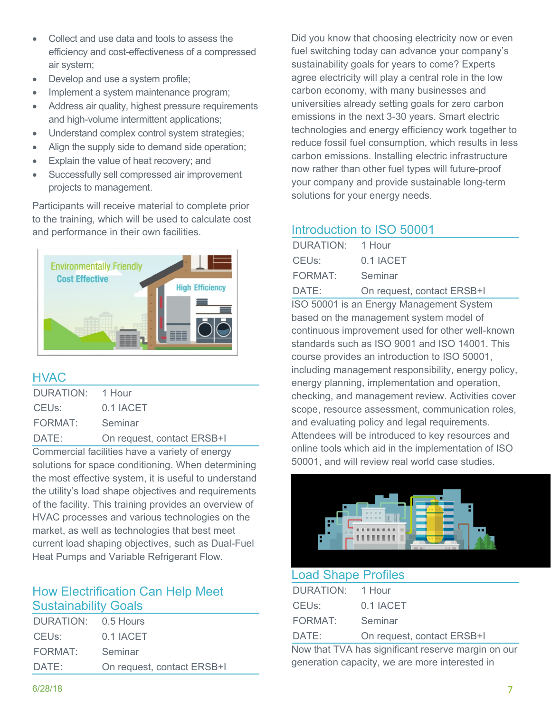- Collect and use data and tools to assess the efficiency and cost-effectiveness of a compressed air system;
- Develop and use a system profile;
- Implement a system maintenance program;
- Address air quality, highest pressure requirements and high-volume intermittent applications;
- Understand complex control system strategies;
- Align the supply side to demand side operation;
- Explain the value of heat recovery; and
- Successfully sell compressed air improvement projects to management.

Participants will receive material to complete prior to the training, which will be used to calculate cost and performance in their own facilities.



#### **HVAC**

| DURATION: 1 Hour |                            |
|------------------|----------------------------|
| CEUs:            | 0.1 IACET                  |
| FORMAT:          | Seminar                    |
| DATE:            | On request, contact ERSB+I |

Commercial facilities have a variety of energy solutions for space conditioning. When determining the most effective system, it is useful to understand the utility's load shape objectives and requirements of the facility. This training provides an overview of HVAC processes and various technologies on the market, as well as technologies that best meet current load shaping objectives, such as Dual-Fuel Heat Pumps and Variable Refrigerant Flow.

#### How Electrification Can Help Meet Sustainability Goals

| DURATION: 0.5 Hours |                            |
|---------------------|----------------------------|
| CEUs:               | 0.1 IACET                  |
| FORMAT:             | Seminar                    |
| DATE:               | On request, contact ERSB+I |
|                     |                            |

Did you know that choosing electricity now or even fuel switching today can advance your company's sustainability goals for years to come? Experts agree electricity will play a central role in the low carbon economy, with many businesses and universities already setting goals for zero carbon emissions in the next 3-30 years. Smart electric technologies and energy efficiency work together to reduce fossil fuel consumption, which results in less carbon emissions. Installing electric infrastructure now rather than other fuel types will future-proof your company and provide sustainable long-term solutions for your energy needs.

#### Introduction to ISO 50001

| DURATION: 1 Hour |                            |
|------------------|----------------------------|
| CEUs:            | 0.1 IACET                  |
| FORMAT: Seminar  |                            |
| DATE:            | On request, contact ERSB+I |

ISO 50001 is an Energy Management System based on the management system model of continuous improvement used for other well-known standards such as ISO 9001 and ISO 14001. This course provides an introduction to ISO 50001, including management responsibility, energy policy, energy planning, implementation and operation, checking, and management review. Activities cover scope, resource assessment, communication roles, and evaluating policy and legal requirements. Attendees will be introduced to key resources and online tools which aid in the implementation of ISO 50001, and will review real world case studies.



#### Load Shape Profiles

| DURATION: 1 Hour |                            |
|------------------|----------------------------|
| CEUs:            | 0.1 IACET                  |
| FORMAT: Seminar  |                            |
| DATE:            | On request, contact ERSB+I |

Now that TVA has significant reserve margin on our generation capacity, we are more interested in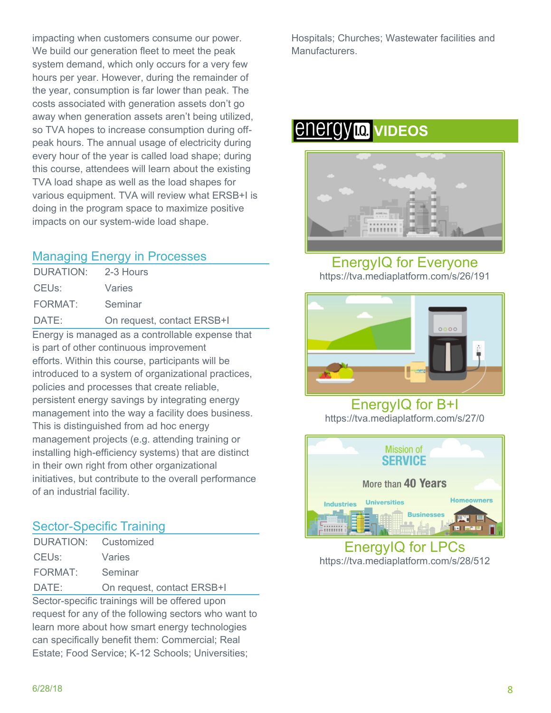impacting when customers consume our power. We build our generation fleet to meet the peak system demand, which only occurs for a very few hours per year. However, during the remainder of the year, consumption is far lower than peak. The costs associated with generation assets don't go away when generation assets aren't being utilized, so TVA hopes to increase consumption during offpeak hours. The annual usage of electricity during every hour of the year is called load shape; during this course, attendees will learn about the existing TVA load shape as well as the load shapes for various equipment. TVA will review what ERSB+I is doing in the program space to maximize positive impacts on our system-wide load shape.

#### Managing Energy in Processes

| DATE:              | On request, contact ERSB+I |
|--------------------|----------------------------|
| FORMAT:            | Seminar                    |
| CEU <sub>s</sub> : | Varies                     |
| DURATION:          | 2-3 Hours                  |

Energy is managed as a controllable expense that is part of other continuous improvement efforts. Within this course, participants will be introduced to a system of organizational practices, policies and processes that create reliable, persistent energy savings by integrating energy management into the way a facility does business. This is distinguished from ad hoc energy management projects (e.g. attending training or installing high-efficiency systems) that are distinct in their own right from other organizational initiatives, but contribute to the overall performance of an industrial facility.

#### Sector-Specific Training

| DURATION: Customized |                            |
|----------------------|----------------------------|
| CEUs:                | Varies                     |
| FORMAT: Seminar      |                            |
| DATE:                | On request, contact ERSB+I |

Sector-specific trainings will be offered upon request for any of the following sectors who want to learn more about how smart energy technologies can specifically benefit them: Commercial; Real Estate; Food Service; K-12 Schools; Universities;

Hospitals; Churches; Wastewater facilities and Manufacturers.

# *<u>ENErgyla</u>* **VIDEOS**



EnergyIQ for Everyone https://tva.mediaplatform.com/s/26/191



EnergyIQ for B+I https://tva.mediaplatform.com/s/27/0



EnergyIQ for LPCs https://tva.mediaplatform.com/s/28/512